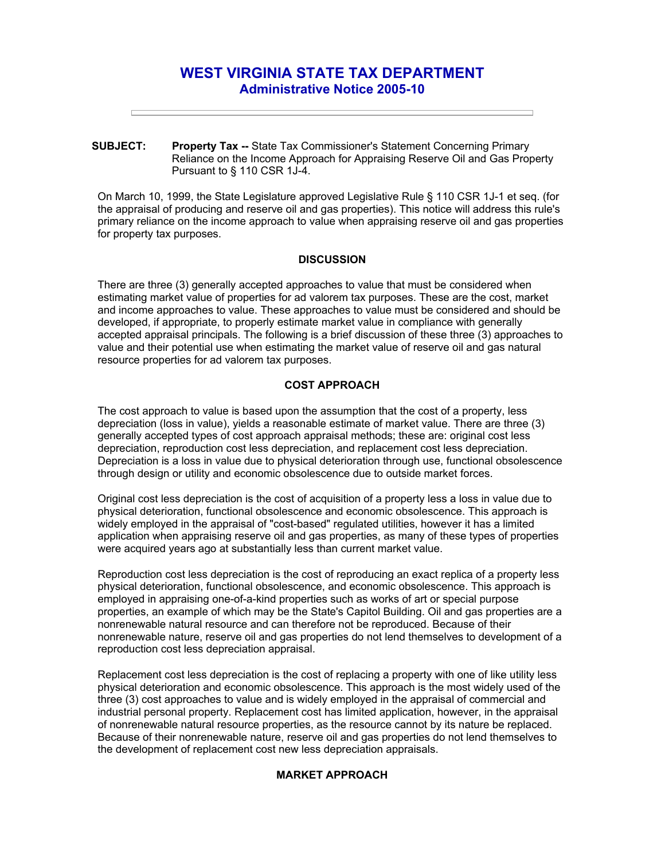# **WEST VIRGINIA STATE TAX DEPARTMENT Administrative Notice 2005-10**

**SUBJECT: Property Tax --** State Tax Commissioner's Statement Concerning Primary Reliance on the Income Approach for Appraising Reserve Oil and Gas Property Pursuant to § 110 CSR 1J-4.

On March 10, 1999, the State Legislature approved Legislative Rule § 110 CSR 1J-1 et seq. (for the appraisal of producing and reserve oil and gas properties). This notice will address this rule's primary reliance on the income approach to value when appraising reserve oil and gas properties for property tax purposes.

## **DISCUSSION**

There are three (3) generally accepted approaches to value that must be considered when estimating market value of properties for ad valorem tax purposes. These are the cost, market and income approaches to value. These approaches to value must be considered and should be developed, if appropriate, to properly estimate market value in compliance with generally accepted appraisal principals. The following is a brief discussion of these three (3) approaches to value and their potential use when estimating the market value of reserve oil and gas natural resource properties for ad valorem tax purposes.

## **COST APPROACH**

The cost approach to value is based upon the assumption that the cost of a property, less depreciation (loss in value), yields a reasonable estimate of market value. There are three (3) generally accepted types of cost approach appraisal methods; these are: original cost less depreciation, reproduction cost less depreciation, and replacement cost less depreciation. Depreciation is a loss in value due to physical deterioration through use, functional obsolescence through design or utility and economic obsolescence due to outside market forces.

Original cost less depreciation is the cost of acquisition of a property less a loss in value due to physical deterioration, functional obsolescence and economic obsolescence. This approach is widely employed in the appraisal of "cost-based" regulated utilities, however it has a limited application when appraising reserve oil and gas properties, as many of these types of properties were acquired years ago at substantially less than current market value.

Reproduction cost less depreciation is the cost of reproducing an exact replica of a property less physical deterioration, functional obsolescence, and economic obsolescence. This approach is employed in appraising one-of-a-kind properties such as works of art or special purpose properties, an example of which may be the State's Capitol Building. Oil and gas properties are a nonrenewable natural resource and can therefore not be reproduced. Because of their nonrenewable nature, reserve oil and gas properties do not lend themselves to development of a reproduction cost less depreciation appraisal.

Replacement cost less depreciation is the cost of replacing a property with one of like utility less physical deterioration and economic obsolescence. This approach is the most widely used of the three (3) cost approaches to value and is widely employed in the appraisal of commercial and industrial personal property. Replacement cost has limited application, however, in the appraisal of nonrenewable natural resource properties, as the resource cannot by its nature be replaced. Because of their nonrenewable nature, reserve oil and gas properties do not lend themselves to the development of replacement cost new less depreciation appraisals.

## **MARKET APPROACH**